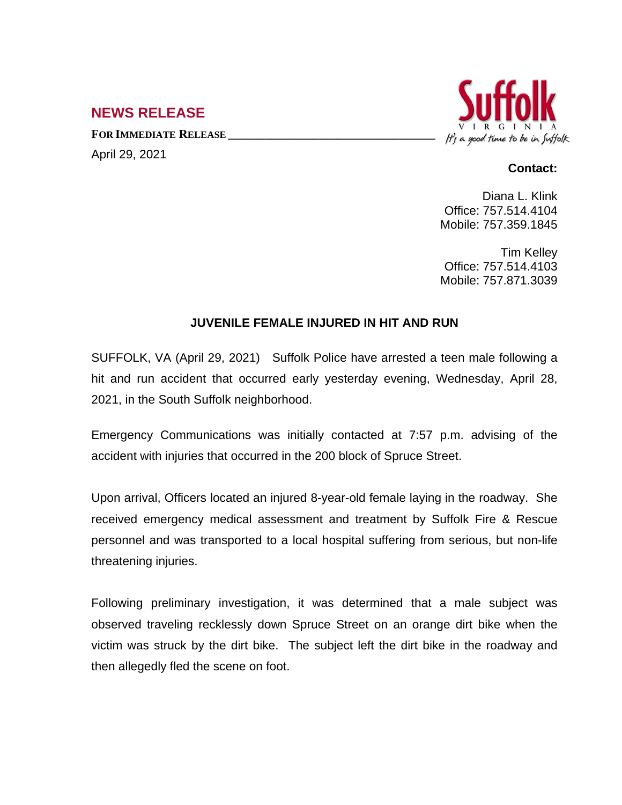## **NEWS RELEASE**

**FOR IMMEDIATE RELEASE \_\_\_\_\_\_\_\_\_\_\_\_\_\_\_\_\_\_\_\_\_\_\_\_\_\_\_\_\_\_\_\_\_\_**

April 29, 2021



## **Contact:**

Diana L. Klink Office: 757.514.4104 Mobile: 757.359.1845

Tim Kelley Office: 757.514.4103 Mobile: 757.871.3039

## **JUVENILE FEMALE INJURED IN HIT AND RUN**

SUFFOLK, VA (April 29, 2021) Suffolk Police have arrested a teen male following a hit and run accident that occurred early yesterday evening, Wednesday, April 28, 2021, in the South Suffolk neighborhood.

Emergency Communications was initially contacted at 7:57 p.m. advising of the accident with injuries that occurred in the 200 block of Spruce Street.

Upon arrival, Officers located an injured 8-year-old female laying in the roadway. She received emergency medical assessment and treatment by Suffolk Fire & Rescue personnel and was transported to a local hospital suffering from serious, but non-life threatening injuries.

Following preliminary investigation, it was determined that a male subject was observed traveling recklessly down Spruce Street on an orange dirt bike when the victim was struck by the dirt bike. The subject left the dirt bike in the roadway and then allegedly fled the scene on foot.